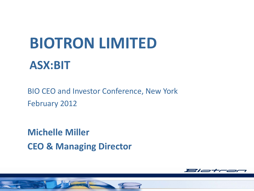# **BIOTRON LIMITED ASX:BIT**

BIO CEO and Investor Conference, New York February 2012

**Michelle Miller CEO & Managing Director**

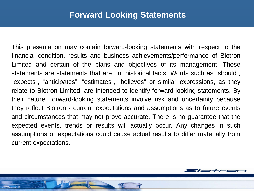### **Forward Looking Statements**

This presentation may contain forward‐looking statements with respect to the financial condition, results and business achievements/performance of Biotron Limited and certain of the plans and objectives of its management. These statements are statements that are not historical facts. Words such as "should", "expects", "anticipates", "estimates", "believes" or similar expressions, as they relate to Biotron Limited, are intended to identify forward‐looking statements. By their nature, forward‐looking statements involve risk and uncertainty because they reflect Biotron's current expectations and assumptions as to future events and circumstances that may not prove accurate. There is no guarantee that the expected events, trends or results will actually occur. Any changes in such assumptions or expectations could cause actual results to differ materially from current expectations.

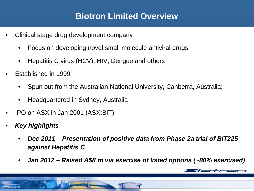## **Biotron Limited Overview**

- Clinical stage drug development company
	- Focus on developing novel small molecule antiviral drugs
	- Hepatitis C virus (HCV), HIV, Dengue and others
- Established in 1999
	- Spun out from the Australian National University, Canberra, Australia;
	- Headquartered in Sydney, Australia
- IPO on ASX in Jan 2001 (ASX:BIT)
- *Key highlights*
	- *Dec 2011 – Presentation of positive data from Phase 2a trial of BIT225 against Hepatitis C*
	- *Jan 2012 – Raised A\$8 m via exercise of listed options (~80% exercised)*

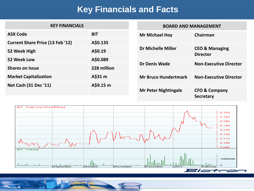## **Key Financials and Facts**

| <b>KEY FINANCIALS</b>                   |             |                             | <b>BOARD AND MANAGEMENT</b>                  |  |
|-----------------------------------------|-------------|-----------------------------|----------------------------------------------|--|
| <b>ASX Code</b>                         | <b>BIT</b>  | <b>Mr Michael Hoy</b>       | Chairman                                     |  |
| <b>Current Share Price (13 Feb '12)</b> | A\$0.135    |                             |                                              |  |
| 52 Week High                            | A\$0.19     | <b>Dr Michelle Miller</b>   | <b>CEO &amp; Managing</b><br><b>Director</b> |  |
| 52 Week Low                             | A\$0.089    |                             |                                              |  |
| <b>Shares on Issue</b>                  | 228 million | <b>Dr Denis Wade</b>        | <b>Non-Executive Director</b>                |  |
| <b>Market Capitalization</b>            | A\$31 m     | <b>Mr Bruce Hundertmark</b> | <b>Non-Executive Director</b>                |  |
| <b>Net Cash (31 Dec '11)</b>            | A\$9.15 m   |                             |                                              |  |
|                                         |             | <b>Mr Peter Nightingale</b> | <b>CFO &amp; Company</b><br><b>Secretary</b> |  |



 $\circ$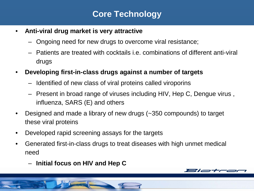# **Core Technology**

- **Anti-viral drug market is very attractive**
	- Ongoing need for new drugs to overcome viral resistance;
	- Patients are treated with cocktails i.e. combinations of different anti-viral drugs
- **Developing first-in-class drugs against a number of targets**
	- Identified of new class of viral proteins called viroporins
	- Present in broad range of viruses including HIV, Hep C, Dengue virus , influenza, SARS (E) and others
- Designed and made a library of new drugs (~350 compounds) to target these viral proteins
- Developed rapid screening assays for the targets
- Generated first-in-class drugs to treat diseases with high unmet medical need
	- **Initial focus on HIV and Hep C**

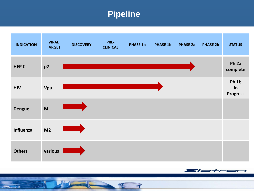# **Pipeline**

| <b>INDICATION</b> | <b>VIRAL</b><br><b>TARGET</b> | <b>DISCOVERY</b> | PRE-<br><b>CLINICAL</b> | <b>PHASE 1a</b> | <b>PHASE 1b</b> | <b>PHASE 2a</b> | <b>PHASE 2b</b> | <b>STATUS</b>                  |
|-------------------|-------------------------------|------------------|-------------------------|-----------------|-----------------|-----------------|-----------------|--------------------------------|
| <b>HEP C</b>      | p7                            |                  |                         |                 |                 |                 |                 | Ph <sub>2a</sub><br>complete   |
| <b>HIV</b>        | Vpu                           |                  |                         |                 |                 |                 |                 | Ph 1b<br>In<br><b>Progress</b> |
| <b>Dengue</b>     | M                             |                  |                         |                 |                 |                 |                 |                                |
| Influenza         | M <sub>2</sub>                |                  |                         |                 |                 |                 |                 |                                |
| <b>Others</b>     | various                       |                  |                         |                 |                 |                 |                 |                                |



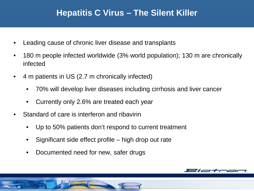## **Hepatitis C Virus – The Silent Killer**

- Leading cause of chronic liver disease and transplants
- 180 m people infected worldwide (3% world population); 130 m are chronically infected
- 4 m patients in US (2.7 m chronically infected)
	- 70% will develop liver diseases including cirrhosis and liver cancer
	- Currently only 2.6% are treated each year
- Standard of care is interferon and ribavirin
	- Up to 50% patients don't respond to current treatment
	- Significant side effect profile high drop out rate
	- Documented need for new, safer drugs

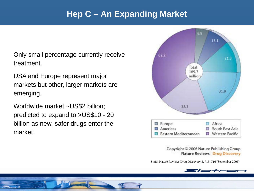## **Hep C – An Expanding Market**

Only small percentage currently receive treatment.

USA and Europe represent major markets but other, larger markets are emerging.

Worldwide market ~US\$2 billion; predicted to expand to >US\$10 - 20 billion as new, safer drugs enter the market.



Copyright © 2006 Nature Publishing Group **Nature Reviews | Drug Discovery** 

Smith Nature Reviews Drug Discovery 5, 715–716 (September 2006)

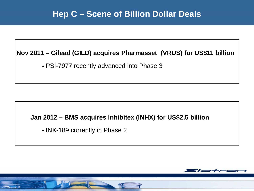## **Hep C – Scene of Billion Dollar Deals**

#### **Nov 2011 – Gilead (GILD) acquires Pharmasset (VRUS) for US\$11 billion**

**-** PSI-7977 recently advanced into Phase 3

#### **Jan 2012 – BMS acquires Inhibitex (INHX) for US\$2.5 billion**

**-** INX-189 currently in Phase 2

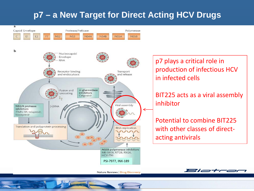# **p7 – a New Target for Direct Acting HCV Drugs**

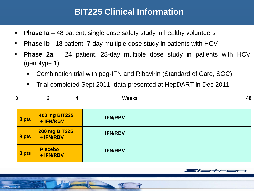# **BIT225 Clinical Information**

- **Phase Ia** 48 patient, single dose safety study in healthy volunteers
- **Phase Ib** *-* 18 patient, 7-day multiple dose study in patients with HCV
- **Phase 2a** 24 patient, 28-day multiple dose study in patients with HCV (genotype 1)
	- Combination trial with peg-IFN and Ribavirin (Standard of Care, SOC).
	- Trial completed Sept 2011; data presented at HepDART in Dec 2011

| 0     | $\mathbf{2}$<br>4                 | <b>Weeks</b>   | 48 |
|-------|-----------------------------------|----------------|----|
| 8 pts | <b>400 mg BIT225</b><br>+ IFN/RBV | <b>IFN/RBV</b> |    |
| 8 pts | <b>200 mg BIT225</b><br>+ IFN/RBV | <b>IFN/RBV</b> |    |
| 8 pts | <b>Placebo</b><br>+ IFN/RBV       | <b>IFN/RBV</b> |    |



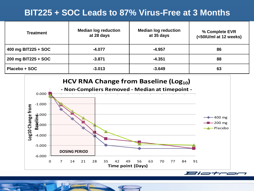# **BIT225 + SOC Leads to 87% Virus-Free at 3 Months**

| <b>Treatment</b>    | <b>Median log reduction</b><br>at 28 days | <b>Median log reduction</b><br>at 35 days | % Complete EVR<br>(<50IU/ml at 12 weeks) |
|---------------------|-------------------------------------------|-------------------------------------------|------------------------------------------|
| 400 mg BIT225 + SOC | $-4.077$                                  | $-4.957$                                  | 86                                       |
| 200 mg BIT225 + SOC | $-3.871$                                  | $-4.351$                                  | 88                                       |
| Placebo + SOC       | $-3.013$                                  | $-3.649$                                  | 63                                       |

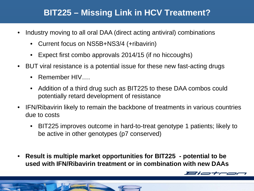# **BIT225 – Missing Link in HCV Treatment?**

- Industry moving to all oral DAA (direct acting antiviral) combinations
	- Current focus on NS5B+NS3/4 (+ribavirin)
	- Expect first combo approvals 2014/15 (if no hiccoughs)
- BUT viral resistance is a potential issue for these new fast-acting drugs
	- Remember HIV
	- Addition of a third drug such as BIT225 to these DAA combos could potentially retard development of resistance
- IFN/Ribavirin likely to remain the backbone of treatments in various countries due to costs
	- BIT225 improves outcome in hard-to-treat genotype 1 patients; likely to be active in other genotypes (p7 conserved)
- **Result is multiple market opportunities for BIT225 - potential to be used with IFN/Ribavirin treatment or in combination with new DAAs**

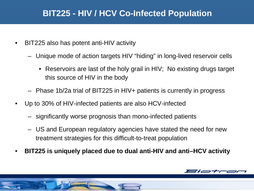# **BIT225 - HIV / HCV Co-Infected Population**

- BIT225 also has potent anti-HIV activity
	- Unique mode of action targets HIV "hiding" in long-lived reservoir cells
		- Reservoirs are last of the holy grail in HIV; No existing drugs target this source of HIV in the body
	- Phase 1b/2a trial of BIT225 in HIV+ patients is currently in progress
- Up to 30% of HIV-infected patients are also HCV-infected
	- significantly worse prognosis than mono-infected patients
	- US and European regulatory agencies have stated the need for new treatment strategies for this difficult-to-treat population
- **BIT225 is uniquely placed due to dual anti-HIV and anti–HCV activity**

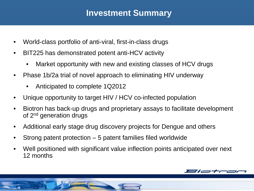## **Investment Summary**

- World-class portfolio of anti-viral, first-in-class drugs
- BIT225 has demonstrated potent anti-HCV activity
	- Market opportunity with new and existing classes of HCV drugs
- Phase 1b/2a trial of novel approach to eliminating HIV underway
	- Anticipated to complete 1Q2012
- Unique opportunity to target HIV / HCV co-infected population
- Biotron has back-up drugs and proprietary assays to facilitate development of 2nd generation drugs
- Additional early stage drug discovery projects for Dengue and others
- Strong patent protection 5 patent families filed worldwide
- Well positioned with significant value inflection points anticipated over next 12 months